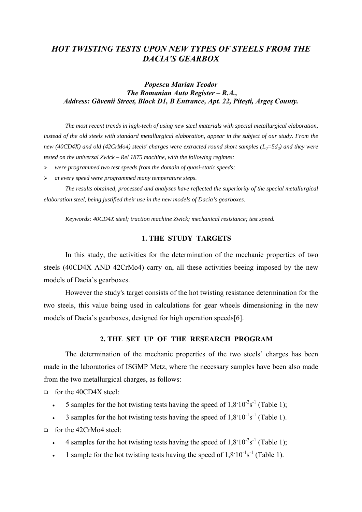# *HOT TWISTING TESTS UPON NEW TYPES OF STEELS FROM THE DACIA'S GEARBOX*

# *Popescu Marian Teodor The Romanian Auto Register – R.A., Address: Găvenii Street, Block D1, B Entrance, Apt. 22, Piteşti, Argeş County.*

*The most recent trends in high-tech of using new steel materials with special metallurgical elaboration, instead of the old steels with standard metallurgical elaboration, appear in the subject of our study. From the new (40CD4X) and old (42CrMo4) steels' charges were extracted round short samples (* $L_0=5d_0$ *) and they were tested on the universal Zwick – Rel 1875 machine, with the following regimes:* 

- ¾ *were programmed two test speeds from the domain of quasi-static speeds;*
- ¾ *at every speed were programmed many temperature steps.*

*The results obtained, processed and analyses have reflected the superiority of the special metallurgical elaboration steel, being justified their use in the new models of Dacia's gearboxes*.

*Keywords: 40CD4X steel; traction machine Zwick; mechanical resistance; test speed.*

## **1. THE STUDY TARGETS**

In this study, the activities for the determination of the mechanic properties of two steels (40CD4X AND 42CrMo4) carry on, all these activities beeing imposed by the new models of Dacia's gearboxes.

However the study's target consists of the hot twisting resistance determination for the two steels, this value being used in calculations for gear wheels dimensioning in the new models of Dacia's gearboxes, designed for high operation speeds[6].

#### **2. THE SET UP OF THE RESEARCH PROGRAM**

The determination of the mechanic properties of the two steels' charges has been made in the laboratories of ISGMP Metz, where the necessary samples have been also made from the two metallurgical charges, as follows:

for the 40CD4X steel:

- 5 samples for the hot twisting tests having the speed of  $1,8^{\circ}10^{-2}s^{-1}$  (Table 1);
- 3 samples for the hot twisting tests having the speed of  $1,8^{\circ}10^{-1}s^{-1}$  (Table 1).

for the 42CrMo4 steel:

- 4 samples for the hot twisting tests having the speed of  $1,8^{\circ}10^{-2}s^{-1}$  (Table 1);
- 1 sample for the hot twisting tests having the speed of  $1,8^{\circ}10^{-1}s^{-1}$  (Table 1).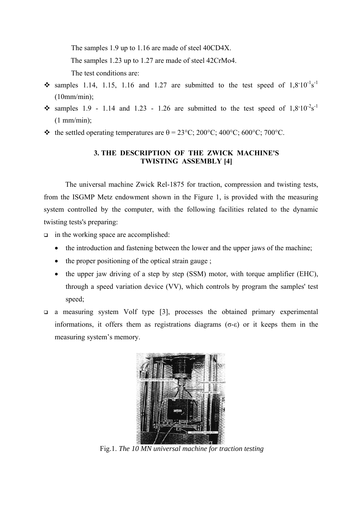The samples 1.9 up to 1.16 are made of steel 40CD4X.

The samples 1.23 up to 1.27 are made of steel 42CrMo4.

The test conditions are:

- $\cdot$  samples 1.14, 1.15, 1.16 and 1.27 are submitted to the test speed of 1,8°10<sup>-1</sup>s<sup>-1</sup> (10mm/min);
- samples 1.9 1.14 and 1.23 1.26 are submitted to the test speed of  $1,8^{*}10^{-2}s^{-1}$  $(1 \text{ mm/min})$ ;
- $\bullet$  the settled operating temperatures are  $\theta = 23^{\circ}$ C; 200°C; 400°C; 600°C; 700°C.

# **3. THE DESCRIPTION OF THE ZWICK MACHINE'S TWISTING ASSEMBLY [4]**

The universal machine Zwick Rel-1875 for traction, compression and twisting tests, from the ISGMP Metz endowment shown in the Figure 1, is provided with the measuring system controlled by the computer, with the following facilities related to the dynamic twisting tests's preparing:

- $\Box$  in the working space are accomplished:
	- the introduction and fastening between the lower and the upper jaws of the machine;
	- the proper positioning of the optical strain gauge;
	- the upper jaw driving of a step by step (SSM) motor, with torque amplifier (EHC), through a speed variation device (VV), which controls by program the samples' test speed;
- a measuring system Volf type [3], processes the obtained primary experimental informations, it offers them as registrations diagrams ( $\sigma$ -ε) or it keeps them in the measuring system's memory.



Fig.1. *The 10 MN universal machine for traction testing*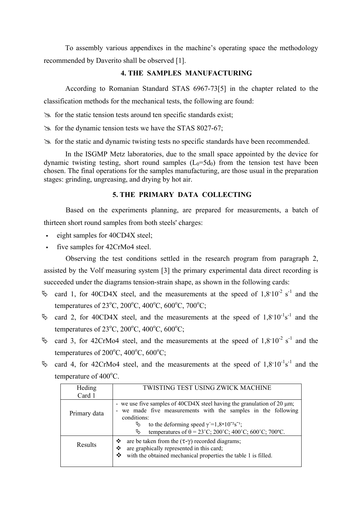To assembly various appendixes in the machine's operating space the methodology recommended by Daverito shall be observed [1].

# **4. THE SAMPLES MANUFACTURING**

According to Romanian Standard STAS 6967-73[5] in the chapter related to the classification methods for the mechanical tests, the following are found:

 $\gg$  for the static tension tests around ten specific standards exist;

 $\approx$  for the dynamic tension tests we have the STAS 8027-67;

 $\geq$  for the static and dynamic twisting tests no specific standards have been recommended.

In the ISGMP Metz laboratories, due to the small space appointed by the device for dynamic twisting testing, short round samples  $(L_0=5d_0)$  from the tension test have been chosen. The final operations for the samples manufacturing, are those usual in the preparation stages: grinding, ungreasing, and drying by hot air.

### **5. THE PRIMARY DATA COLLECTING**

Based on the experiments planning, are prepared for measurements, a batch of thirteen short round samples from both steels' charges:

- eight samples for 40CD4X steel;
- five samples for 42CrMo4 steel.

Observing the test conditions settled in the research program from paragraph 2, assisted by the Volf measuring system [3] the primary experimental data direct recording is succeeded under the diagrams tension-strain shape, as shown in the following cards:

- $\%$  card 1, for 40CD4X steel, and the measurements at the speed of 1,8°10<sup>-2</sup> s<sup>-1</sup> and the temperatures of  $23^{\circ}$ C,  $200^{\circ}$ C,  $400^{\circ}$ C,  $600^{\circ}$ C,  $700^{\circ}$ C;
- $\%$  card 2, for 40CD4X steel, and the measurements at the speed of 1,8°10<sup>-1</sup>s<sup>-1</sup> and the temperatures of  $23^{\circ}$ C,  $200^{\circ}$ C,  $400^{\circ}$ C,  $600^{\circ}$ C;
- $\%$  card 3, for 42CrMo4 steel, and the measurements at the speed of 1,8°10<sup>-2</sup> s<sup>-1</sup> and the temperatures of  $200^{\circ}$ C,  $400^{\circ}$ C,  $600^{\circ}$ C;
- $\%$  card 4, for 42CrMo4 steel, and the measurements at the speed of 1,8°10<sup>-1</sup>s<sup>-1</sup> and the temperature of  $400^{\circ}$ C.

| Heding       | TWISTING TEST USING ZWICK MACHINE                                                                                                                                                                                                                                                                                        |  |  |  |  |  |  |
|--------------|--------------------------------------------------------------------------------------------------------------------------------------------------------------------------------------------------------------------------------------------------------------------------------------------------------------------------|--|--|--|--|--|--|
| Card 1       |                                                                                                                                                                                                                                                                                                                          |  |  |  |  |  |  |
| Primary data | - we use five samples of 40CD4X steel having the granulation of 20 $\mu$ m;<br>- we made five measurements with the samples in the following<br>conditions:<br>À,<br>to the deforming speed $\gamma' = 1.8 \times 10^{-2} \text{s}^{-1}$ ;<br>temperatures of $\theta = 23^{\circ}$ C; 200°C; 400°C; 600°C; 700°C.<br>Ų, |  |  |  |  |  |  |
| Results      | are be taken from the $(\tau-\gamma)$ recorded diagrams;<br>❖<br>are graphically represented in this card;<br>❖<br>with the obtained mechanical properties the table 1 is filled.<br>❖                                                                                                                                   |  |  |  |  |  |  |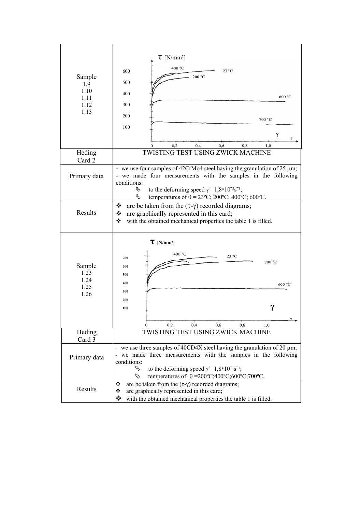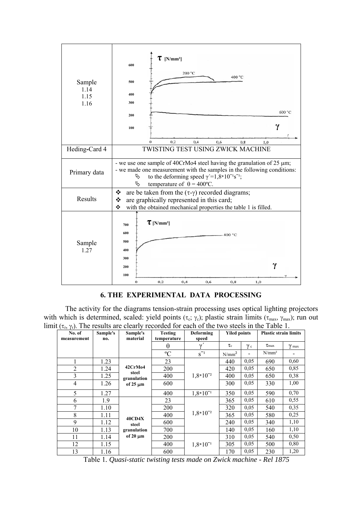

## **6. THE EXPERIMENTAL DATA PROCESSING**

The activity for the diagrams tension-strain processing uses optical lighting projectors with which is determined, scaled: yield points (τ<sub>c</sub>;  $\gamma_c$ ); plastic strain limits (τ<sub>max</sub>, γ<sub>max</sub>); run out limit ( $\tau_r$ ,  $\gamma_r$ ). The results are clearly recorded for each of the two steels in the Table 1.

| $\mathcal{L}_{12}$ (1). The reserves are<br>No. of<br>measurement | Sample's<br>no. | Sample's<br>material                                   | <b>Testing</b><br>temperature | Deforming<br>speed | <b>Yiled points</b> |            | <b>Plastic strain limits</b> |              |
|-------------------------------------------------------------------|-----------------|--------------------------------------------------------|-------------------------------|--------------------|---------------------|------------|------------------------------|--------------|
|                                                                   |                 |                                                        | $\theta$                      | $\mathcal V$       | $\tau_c$            | $\gamma c$ | $\tau_{\text{max}}$          | $\gamma$ max |
|                                                                   |                 |                                                        | $\rm ^{o}C$                   | $S^{-1}$           | N/mm <sup>2</sup>   |            | $N/mm^2$                     |              |
|                                                                   | 1.23            | 42CrMo4<br>steel<br>granulation<br>of $25 \mu m$       | 23                            |                    | 440                 | 0,05       | 690                          | 0,60         |
| $\overline{2}$                                                    | 1.24            |                                                        | 200                           | $1,8*10^{-2}$      | 420                 | 0.05       | 650                          | 0,85         |
| 3                                                                 | 1.25            |                                                        | 400                           |                    | 400                 | 0,05       | 650                          | 0,38         |
| $\overline{4}$                                                    | 1.26            |                                                        | 600                           |                    | 300                 | 0,05       | 330                          | 1,00         |
| 5                                                                 | 1.27            |                                                        | 400                           | $1,8*10^{-1}$      | 350                 | 0,05       | 590                          | 0,70         |
| 6                                                                 | 1.9             | <b>40CD4X</b><br>steel<br>granulation<br>of $20 \mu m$ | 23                            | $1,8*10^{-2}$      | 365                 | 0,05       | 610                          | 0,55         |
| 7                                                                 | 1.10            |                                                        | 200                           |                    | 320                 | 0.05       | 540                          | 0,35         |
| 8                                                                 | 1.11            |                                                        | 400                           |                    | 365                 | 0,05       | 580                          | 0,25         |
| 9                                                                 | 1.12            |                                                        | 600                           |                    | 240                 | 0,05       | 340                          | 1,10         |
| 10                                                                | 1.13            |                                                        | 700                           |                    | 140                 | 0,05       | 160                          | 1,10         |
| 11                                                                | 1.14            |                                                        | <b>200</b>                    |                    | 310                 | 0,05       | 540                          | 0,50         |
| 12                                                                | 1.15            |                                                        | 400                           | $1,8*10^{-1}$      | 305                 | 0,05       | 500                          | 0,80         |
| 13                                                                | 1.16            |                                                        | 600                           |                    | 170                 | 0,05       | 230                          | 1,20         |

Table 1*. Quasi-static twisting tests made on Zwick machine - Rel 1875*